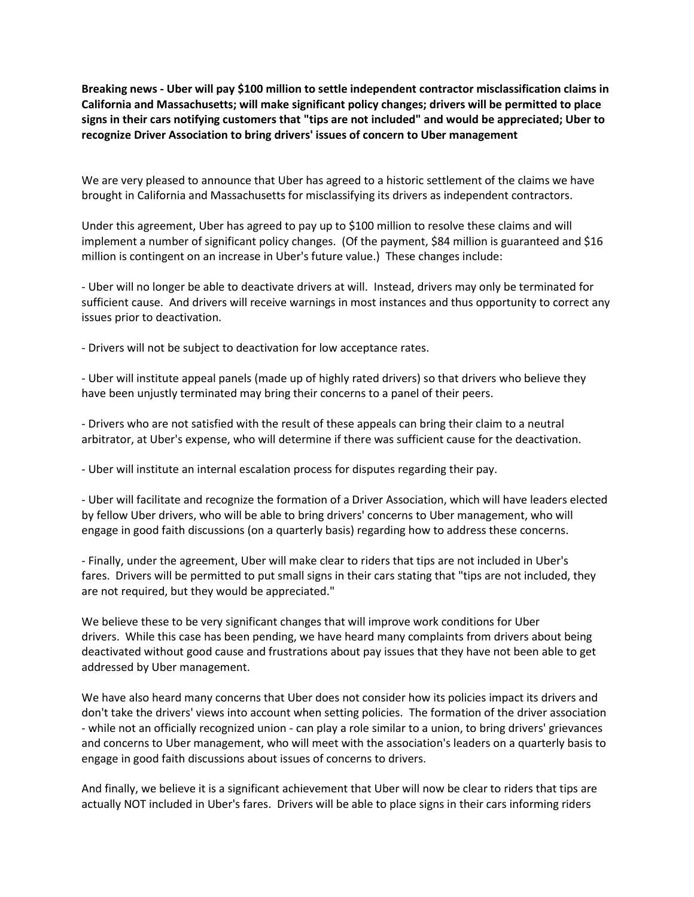**Breaking news - Uber will pay \$100 million to settle independent contractor misclassification claims in California and Massachusetts; will make significant policy changes; drivers will be permitted to place signs in their cars notifying customers that "tips are not included" and would be appreciated; Uber to recognize Driver Association to bring drivers' issues of concern to Uber management**

We are very pleased to announce that Uber has agreed to a historic settlement of the claims we have brought in California and Massachusetts for misclassifying its drivers as independent contractors.

Under this agreement, Uber has agreed to pay up to \$100 million to resolve these claims and will implement a number of significant policy changes. (Of the payment, \$84 million is guaranteed and \$16 million is contingent on an increase in Uber's future value.) These changes include:

- Uber will no longer be able to deactivate drivers at will. Instead, drivers may only be terminated for sufficient cause. And drivers will receive warnings in most instances and thus opportunity to correct any issues prior to deactivation.

- Drivers will not be subject to deactivation for low acceptance rates.

- Uber will institute appeal panels (made up of highly rated drivers) so that drivers who believe they have been unjustly terminated may bring their concerns to a panel of their peers.

- Drivers who are not satisfied with the result of these appeals can bring their claim to a neutral arbitrator, at Uber's expense, who will determine if there was sufficient cause for the deactivation.

- Uber will institute an internal escalation process for disputes regarding their pay.

- Uber will facilitate and recognize the formation of a Driver Association, which will have leaders elected by fellow Uber drivers, who will be able to bring drivers' concerns to Uber management, who will engage in good faith discussions (on a quarterly basis) regarding how to address these concerns.

- Finally, under the agreement, Uber will make clear to riders that tips are not included in Uber's fares. Drivers will be permitted to put small signs in their cars stating that "tips are not included, they are not required, but they would be appreciated."

We believe these to be very significant changes that will improve work conditions for Uber drivers. While this case has been pending, we have heard many complaints from drivers about being deactivated without good cause and frustrations about pay issues that they have not been able to get addressed by Uber management.

We have also heard many concerns that Uber does not consider how its policies impact its drivers and don't take the drivers' views into account when setting policies. The formation of the driver association - while not an officially recognized union - can play a role similar to a union, to bring drivers' grievances and concerns to Uber management, who will meet with the association's leaders on a quarterly basis to engage in good faith discussions about issues of concerns to drivers.

And finally, we believe it is a significant achievement that Uber will now be clear to riders that tips are actually NOT included in Uber's fares. Drivers will be able to place signs in their cars informing riders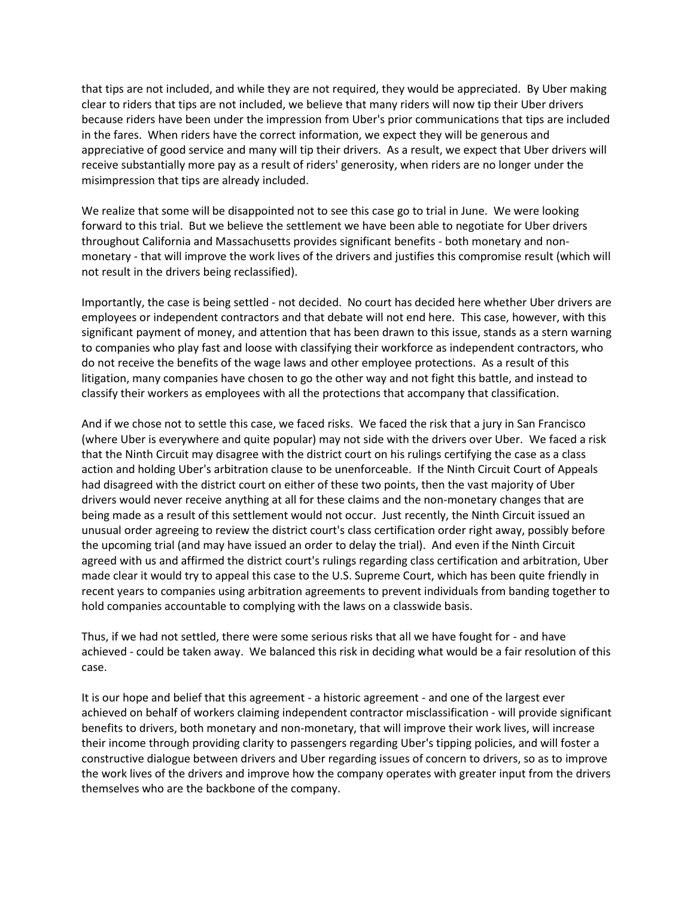that tips are not included, and while they are not required, they would be appreciated. By Uber making clear to riders that tips are not included, we believe that many riders will now tip their Uber drivers because riders have been under the impression from Uber's prior communications that tips are included in the fares. When riders have the correct information, we expect they will be generous and appreciative of good service and many will tip their drivers. As a result, we expect that Uber drivers will receive substantially more pay as a result of riders' generosity, when riders are no longer under the misimpression that tips are already included.

We realize that some will be disappointed not to see this case go to trial in June. We were looking forward to this trial. But we believe the settlement we have been able to negotiate for Uber drivers throughout California and Massachusetts provides significant benefits - both monetary and nonmonetary - that will improve the work lives of the drivers and justifies this compromise result (which will not result in the drivers being reclassified).

Importantly, the case is being settled - not decided. No court has decided here whether Uber drivers are employees or independent contractors and that debate will not end here. This case, however, with this significant payment of money, and attention that has been drawn to this issue, stands as a stern warning to companies who play fast and loose with classifying their workforce as independent contractors, who do not receive the benefits of the wage laws and other employee protections. As a result of this litigation, many companies have chosen to go the other way and not fight this battle, and instead to classify their workers as employees with all the protections that accompany that classification.

And if we chose not to settle this case, we faced risks. We faced the risk that a jury in San Francisco (where Uber is everywhere and quite popular) may not side with the drivers over Uber. We faced a risk that the Ninth Circuit may disagree with the district court on his rulings certifying the case as a class action and holding Uber's arbitration clause to be unenforceable. If the Ninth Circuit Court of Appeals had disagreed with the district court on either of these two points, then the vast majority of Uber drivers would never receive anything at all for these claims and the non-monetary changes that are being made as a result of this settlement would not occur. Just recently, the Ninth Circuit issued an unusual order agreeing to review the district court's class certification order right away, possibly before the upcoming trial (and may have issued an order to delay the trial). And even if the Ninth Circuit agreed with us and affirmed the district court's rulings regarding class certification and arbitration, Uber made clear it would try to appeal this case to the U.S. Supreme Court, which has been quite friendly in recent years to companies using arbitration agreements to prevent individuals from banding together to hold companies accountable to complying with the laws on a classwide basis.

Thus, if we had not settled, there were some serious risks that all we have fought for - and have achieved - could be taken away. We balanced this risk in deciding what would be a fair resolution of this case.

It is our hope and belief that this agreement - a historic agreement - and one of the largest ever achieved on behalf of workers claiming independent contractor misclassification - will provide significant benefits to drivers, both monetary and non-monetary, that will improve their work lives, will increase their income through providing clarity to passengers regarding Uber's tipping policies, and will foster a constructive dialogue between drivers and Uber regarding issues of concern to drivers, so as to improve the work lives of the drivers and improve how the company operates with greater input from the drivers themselves who are the backbone of the company.